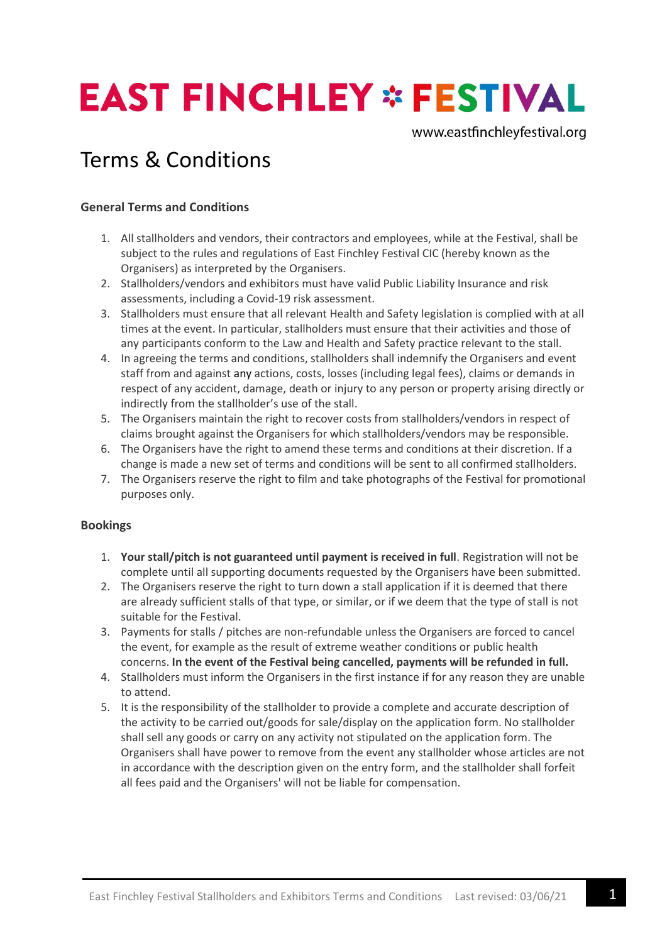# **EAST FINCHLEY \* FESTIVAL**

www.eastfinchleyfestival.org

## Terms & Conditions

#### **General Terms and Conditions**

- 1. All stallholders and vendors, their contractors and employees, while at the Festival, shall be subject to the rules and regulations of East Finchley Festival CIC (hereby known as the Organisers) as interpreted by the Organisers.
- 2. Stallholders/vendors and exhibitors must have valid Public Liability Insurance and risk assessments, including a Covid-19 risk assessment.
- 3. Stallholders must ensure that all relevant Health and Safety legislation is complied with at all times at the event. In particular, stallholders must ensure that their activities and those of any participants conform to the Law and Health and Safety practice relevant to the stall.
- 4. In agreeing the terms and conditions, stallholders shall indemnify the Organisers and event staff from and against any actions, costs, losses (including legal fees), claims or demands in respect of any accident, damage, death or injury to any person or property arising directly or indirectly from the stallholder's use of the stall.
- 5. The Organisers maintain the right to recover costs from stallholders/vendors in respect of claims brought against the Organisers for which stallholders/vendors may be responsible.
- 6. The Organisers have the right to amend these terms and conditions at their discretion. If a change is made a new set of terms and conditions will be sent to all confirmed stallholders.
- 7. The Organisers reserve the right to film and take photographs of the Festival for promotional purposes only.

#### **Bookings**

- 1. **Your stall/pitch is not guaranteed until payment is received in full**. Registration will not be complete until all supporting documents requested by the Organisers have been submitted.
- 2. The Organisers reserve the right to turn down a stall application if it is deemed that there are already sufficient stalls of that type, or similar, or if we deem that the type of stall is not suitable for the Festival.
- 3. Payments for stalls / pitches are non-refundable unless the Organisers are forced to cancel the event, for example as the result of extreme weather conditions or public health concerns. **In the event of the Festival being cancelled, payments will be refunded in full.**
- 4. Stallholders must inform the Organisers in the first instance if for any reason they are unable to attend.
- 5. It is the responsibility of the stallholder to provide a complete and accurate description of the activity to be carried out/goods for sale/display on the application form. No stallholder shall sell any goods or carry on any activity not stipulated on the application form. The Organisers shall have power to remove from the event any stallholder whose articles are not in accordance with the description given on the entry form, and the stallholder shall forfeit all fees paid and the Organisers' will not be liable for compensation.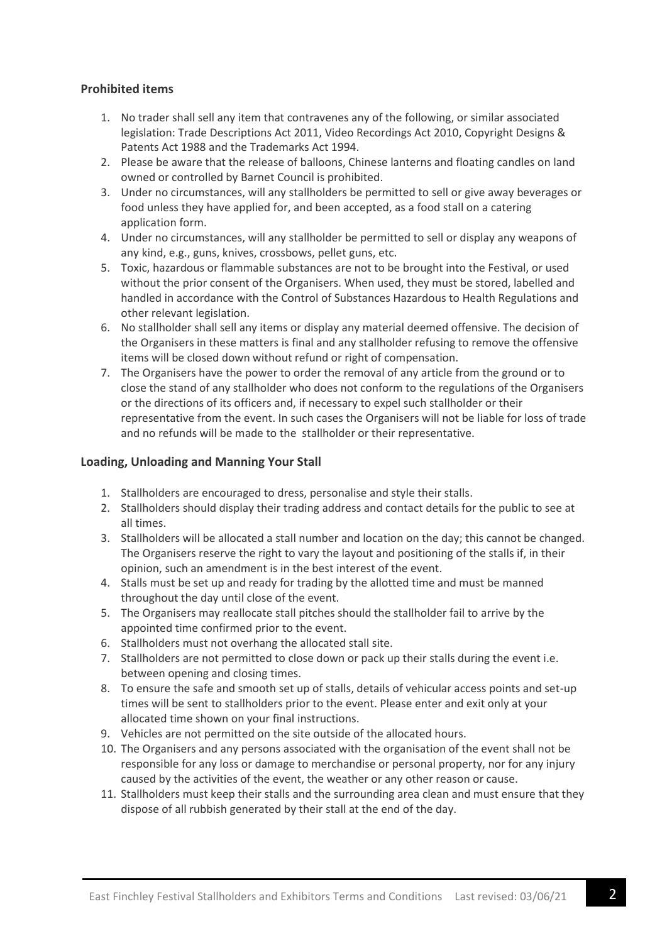#### **Prohibited items**

- 1. No trader shall sell any item that contravenes any of the following, or similar associated legislation: Trade Descriptions Act 2011, Video Recordings Act 2010, Copyright Designs & Patents Act 1988 and the Trademarks Act 1994.
- 2. Please be aware that the release of balloons, Chinese lanterns and floating candles on land owned or controlled by Barnet Council is prohibited.
- 3. Under no circumstances, will any stallholders be permitted to sell or give away beverages or food unless they have applied for, and been accepted, as a food stall on a catering application form.
- 4. Under no circumstances, will any stallholder be permitted to sell or display any weapons of any kind, e.g., guns, knives, crossbows, pellet guns, etc.
- 5. Toxic, hazardous or flammable substances are not to be brought into the Festival, or used without the prior consent of the Organisers. When used, they must be stored, labelled and handled in accordance with the Control of Substances Hazardous to Health Regulations and other relevant legislation.
- 6. No stallholder shall sell any items or display any material deemed offensive. The decision of the Organisers in these matters is final and any stallholder refusing to remove the offensive items will be closed down without refund or right of compensation.
- 7. The Organisers have the power to order the removal of any article from the ground or to close the stand of any stallholder who does not conform to the regulations of the Organisers or the directions of its officers and, if necessary to expel such stallholder or their representative from the event. In such cases the Organisers will not be liable for loss of trade and no refunds will be made to the stallholder or their representative.

#### **Loading, Unloading and Manning Your Stall**

- 1. Stallholders are encouraged to dress, personalise and style their stalls.
- 2. Stallholders should display their trading address and contact details for the public to see at all times.
- 3. Stallholders will be allocated a stall number and location on the day; this cannot be changed. The Organisers reserve the right to vary the layout and positioning of the stalls if, in their opinion, such an amendment is in the best interest of the event.
- 4. Stalls must be set up and ready for trading by the allotted time and must be manned throughout the day until close of the event.
- 5. The Organisers may reallocate stall pitches should the stallholder fail to arrive by the appointed time confirmed prior to the event.
- 6. Stallholders must not overhang the allocated stall site.
- 7. Stallholders are not permitted to close down or pack up their stalls during the event i.e. between opening and closing times.
- 8. To ensure the safe and smooth set up of stalls, details of vehicular access points and set-up times will be sent to stallholders prior to the event. Please enter and exit only at your allocated time shown on your final instructions.
- 9. Vehicles are not permitted on the site outside of the allocated hours.
- 10. The Organisers and any persons associated with the organisation of the event shall not be responsible for any loss or damage to merchandise or personal property, nor for any injury caused by the activities of the event, the weather or any other reason or cause.
- 11. Stallholders must keep their stalls and the surrounding area clean and must ensure that they dispose of all rubbish generated by their stall at the end of the day.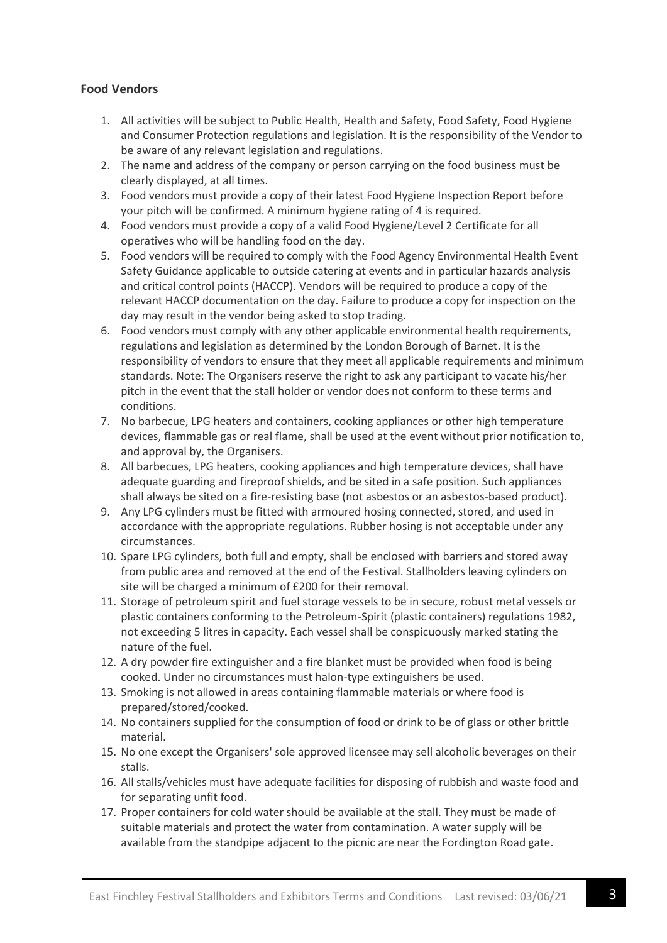#### **Food Vendors**

- 1. All activities will be subject to Public Health, Health and Safety, Food Safety, Food Hygiene and Consumer Protection regulations and legislation. It is the responsibility of the Vendor to be aware of any relevant legislation and regulations.
- 2. The name and address of the company or person carrying on the food business must be clearly displayed, at all times.
- 3. Food vendors must provide a copy of their latest Food Hygiene Inspection Report before your pitch will be confirmed. A minimum hygiene rating of 4 is required.
- 4. Food vendors must provide a copy of a valid Food Hygiene/Level 2 Certificate for all operatives who will be handling food on the day.
- 5. Food vendors will be required to comply with the Food Agency Environmental Health Event Safety Guidance applicable to outside catering at events and in particular hazards analysis and critical control points (HACCP). Vendors will be required to produce a copy of the relevant HACCP documentation on the day. Failure to produce a copy for inspection on the day may result in the vendor being asked to stop trading.
- 6. Food vendors must comply with any other applicable environmental health requirements, regulations and legislation as determined by the London Borough of Barnet. It is the responsibility of vendors to ensure that they meet all applicable requirements and minimum standards. Note: The Organisers reserve the right to ask any participant to vacate his/her pitch in the event that the stall holder or vendor does not conform to these terms and conditions.
- 7. No barbecue, LPG heaters and containers, cooking appliances or other high temperature devices, flammable gas or real flame, shall be used at the event without prior notification to, and approval by, the Organisers.
- 8. All barbecues, LPG heaters, cooking appliances and high temperature devices, shall have adequate guarding and fireproof shields, and be sited in a safe position. Such appliances shall always be sited on a fire-resisting base (not asbestos or an asbestos-based product).
- 9. Any LPG cylinders must be fitted with armoured hosing connected, stored, and used in accordance with the appropriate regulations. Rubber hosing is not acceptable under any circumstances.
- 10. Spare LPG cylinders, both full and empty, shall be enclosed with barriers and stored away from public area and removed at the end of the Festival. Stallholders leaving cylinders on site will be charged a minimum of £200 for their removal.
- 11. Storage of petroleum spirit and fuel storage vessels to be in secure, robust metal vessels or plastic containers conforming to the Petroleum-Spirit (plastic containers) regulations 1982, not exceeding 5 litres in capacity. Each vessel shall be conspicuously marked stating the nature of the fuel.
- 12. A dry powder fire extinguisher and a fire blanket must be provided when food is being cooked. Under no circumstances must halon-type extinguishers be used.
- 13. Smoking is not allowed in areas containing flammable materials or where food is prepared/stored/cooked.
- 14. No containers supplied for the consumption of food or drink to be of glass or other brittle material.
- 15. No one except the Organisers' sole approved licensee may sell alcoholic beverages on their stalls.
- 16. All stalls/vehicles must have adequate facilities for disposing of rubbish and waste food and for separating unfit food.
- 17. Proper containers for cold water should be available at the stall. They must be made of suitable materials and protect the water from contamination. A water supply will be available from the standpipe adjacent to the picnic are near the Fordington Road gate.